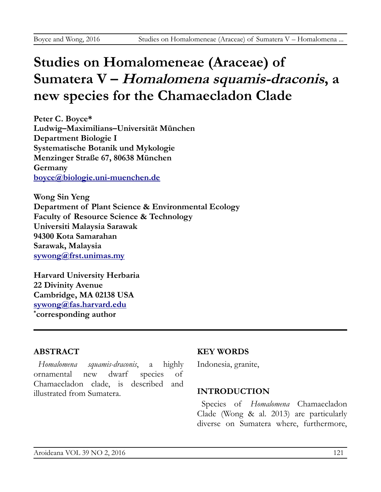# **Studies on Homalomeneae (Araceae) of Sumatera V – Homalomena squamis-draconis, a new species for the Chamaecladon Clade**

**Peter C. Boyce\* Ludwig–Maximilians–Universität München Department Biologie I Systematische Botanik und Mykologie Menzinger Straße 67, 80638 München Germany [boyce@biologie.uni-muenchen.de](mailto:boyce@biologie.uni-muenchen.de)**

**Wong Sin Yeng Department of Plant Science & Environmental Ecology Faculty of Resource Science & Technology Universiti Malaysia Sarawak 94300 Kota Samarahan Sarawak, Malaysia [sywong@frst.unimas.my](mailto:sywong@frst.unimas.my)**

**Harvard University Herbaria 22 Divinity Avenue Cambridge, MA 02138 USA [sywong@fas.harvard.edu](mailto:sywong@fas.harvard.edu) \* corresponding author**

## **ABSTRACT**

*Homalomena squamis-draconis*, a highly ornamental new dwarf species of Chamaecladon clade, is described and illustrated from Sumatera.

### **KEY WORDS**

Indonesia, granite,

### **INTRODUCTION**

Species of *Homalomena* Chamaecladon Clade (Wong & al. 2013) are particularly diverse on Sumatera where, furthermore,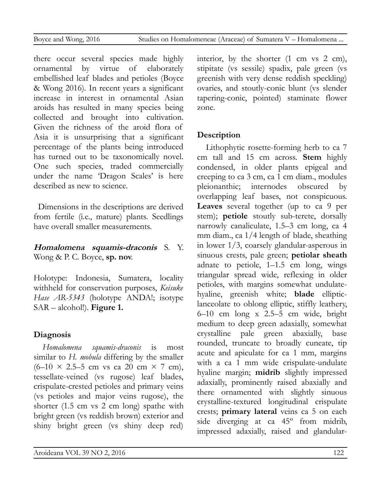there occur several species made highly ornamental by virtue of elaborately embellished leaf blades and petioles (Boyce & Wong 2016). In recent years a significant increase in interest in ornamental Asian aroids has resulted in many species being collected and brought into cultivation. Given the richness of the aroid flora of Asia it is unsurprising that a significant percentage of the plants being introduced has turned out to be taxonomically novel. One such species, traded commercially under the name 'Dragon Scales' is here described as new to science.

Dimensions in the descriptions are derived from fertile (i.e., mature) plants. Seedlings have overall smaller measurements.

## **Homalomena squamis-draconis** S. Y. Wong & P. C. Boyce, **sp. nov**.

Holotype: Indonesia, Sumatera, locality withheld for conservation purposes, *Keisuke Hase AR-5343* (holotype ANDA!; isotype SAR – alcohol!). **Figure 1.**

# **Diagnosis**

*Homalomena squamis-draconis* is most similar to *H. mobula* differing by the smaller  $(6-10 \times 2.5-5$  cm vs ca 20 cm  $\times$  7 cm), tessellate-veined (vs rugose) leaf blades, crispulate-crested petioles and primary veins (vs petioles and major veins rugose), the shorter (1.5 cm vs 2 cm long) spathe with bright green (vs reddish brown) exterior and shiny bright green (vs shiny deep red) interior, by the shorter  $(1 \text{ cm vs } 2 \text{ cm})$ , stipitate (vs sessile) spadix, pale green (vs greenish with very dense reddish speckling) ovaries, and stoutly-conic blunt (vs slender tapering-conic, pointed) staminate flower zone.

# **Description**

Lithophytic rosette-forming herb to ca 7 cm tall and 15 cm across. **Stem** highly condensed, in older plants epigeal and creeping to ca 3 cm, ca 1 cm diam., modules pleionanthic; internodes obscured by overlapping leaf bases, not conspicuous. **Leaves** several together (up to ca 9 per stem); **petiole** stoutly sub-terete, dorsally narrowly canaliculate, 1.5–3 cm long, ca 4 mm diam., ca 1/4 length of blade, sheathing in lower 1/3, coarsely glandular-asperous in sinuous crests, pale green; **petiolar sheath** adnate to petiole, 1–1.5 cm long, wings triangular spread wide, reflexing in older petioles, with margins somewhat undulatehyaline, greenish white; **blade** ellipticlanceolate to oblong elliptic, stiffly leathery, 6–10 cm long x 2.5–5 cm wide, bright medium to deep green adaxially, somewhat crystalline pale green abaxially, base rounded, truncate to broadly cuneate, tip acute and apiculate for ca 1 mm, margins with a ca 1 mm wide crispulate-undulate hyaline margin; **midrib** slightly impressed adaxially, prominently raised abaxially and there ornamented with slightly sinuous crystalline-textured longitudinal crispulate crests; **primary lateral** veins ca 5 on each side diverging at ca 45º from midrib, impressed adaxially, raised and glandular-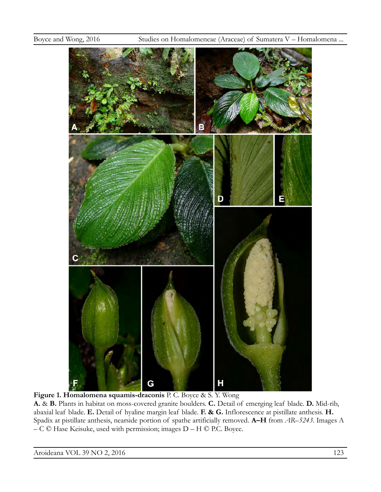

**Figure 1. Homalomena squamis-draconis** P. C. Boyce & S. Y. Wong **A.** & **B.** Plants in habitat on moss-covered granite boulders. **C.** Detail of emerging leaf blade. **D.** Mid-rib, abaxial leaf blade. **E.** Detail of hyaline margin leaf blade. **F. & G.** Inflorescence at pistillate anthesis. **H.**  Spadix at pistillate anthesis, nearside portion of spathe artificially removed. **A–H** from *AR–5243*. Images A – C © Hase Keisuke, used with permission; images D – H © P.C. Boyce.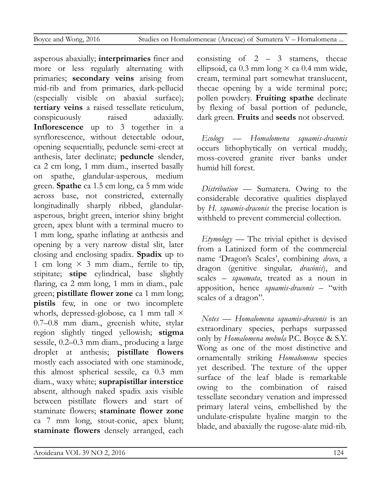asperous abaxially; **interprimaries** finer and more or less regularly alternating with primaries; **secondary veins** arising from mid-rib and from primaries, dark-pellucid (especially visible on abaxial surface); **tertiary veins** a raised tessellate reticulum, conspicuously raised adaxially. **Inflorescence** up to 3 together in a synflorescence, without detectable odour, opening sequentially, peduncle semi-erect at anthesis, later declinate; **peduncle** slender, ca 2 cm long, 1 mm diam., inserted basally on spathe, glandular-asperous, medium green. **Spathe** ca 1.5 cm long, ca 5 mm wide across base, not constricted, externally longitudinally sharply ribbed, glandularasperous, bright green, interior shiny bright green, apex blunt with a terminal mucro to 1 mm long, spathe inflating at anthesis and opening by a very narrow distal slit, later closing and enclosing spadix. **Spadix** up to 1 cm long  $\times$  3 mm diam., fertile to tip, stipitate; **stipe** cylindrical, base slightly flaring, ca 2 mm long, 1 mm in diam., pale green; **pistillate flower zone** ca 1 mm long; **pistils** few, in one or two incomplete whorls, depressed-globose, ca 1 mm tall × 0.7–0.8 mm diam., greenish white, stylar region slightly tinged yellowish; **stigma** sessile, 0.2–0.3 mm diam., producing a large droplet at anthesis; **pistillate flowers** mostly each associated with one staminode, this almost spherical sessile, ca 0.3 mm diam., waxy white; **suprapistillar interstice** absent, although naked spadix axis visible between pistillate flowers and start of staminate flowers; **staminate flower zone** ca 7 mm long, stout-conic, apex blunt; **staminate flowers** densely arranged, each consisting of  $2 - 3$  stamens, the cae ellipsoid, ca  $0.3$  mm long  $\times$  ca  $0.4$  mm wide, cream, terminal part somewhat translucent, thecae opening by a wide terminal pore; pollen powdery. **Fruiting spathe** declinate by flexing of basal portion of peduncle, dark green. **Fruits** and **seeds** not observed.

*Ecology* — *Homalomena squamis-draconis* occurs lithophytically on vertical muddy, moss-covered granite river banks under humid hill forest.

*Distribution* — Sumatera. Owing to the considerable decorative qualities displayed by *H. squamis-draconis* the precise location is withheld to prevent commercial collection.

*Etymology* — The trivial epithet is devised from a Latinized form of the commercial name 'Dragon's Scales', combining *draco*, a dragon (genitive singular*, dracōnis*), and scales – *squamata*, treated as a noun in apposition, hence *squamis-draconis* – "with scales of a dragon".

*Notes* — *Homalomena squamis-draconis* is an extraordinary species, perhaps surpassed only by *Homalomena mobula* P.C. Boyce & S.Y. Wong as one of the most distinctive and ornamentally striking *Homalomena* species yet described. The texture of the upper surface of the leaf blade is remarkable owing to the combination of raised tessellate secondary venation and impressed primary lateral veins, embellished by the undulate-crispulate hyaline margin to the blade, and abaxially the rugose-alate mid-rib.